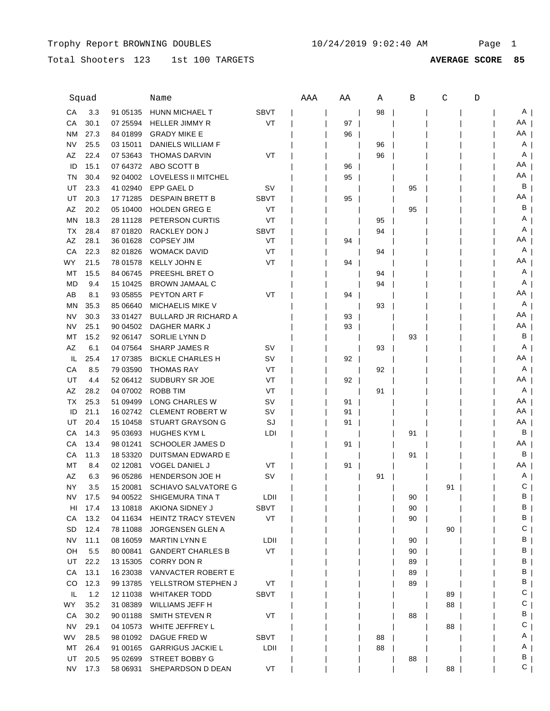## Total Shooters 123 1st 100 TARGETS **AVERAGE SCORE 85**

|           | Squad   |                      | Name                                              |             | AAA | ΑA | Α  | В  | C  | D |                |
|-----------|---------|----------------------|---------------------------------------------------|-------------|-----|----|----|----|----|---|----------------|
| СA        | 3.3     | 91 05135             | HUNN MICHAEL T                                    | <b>SBVT</b> |     |    | 98 |    |    |   | A              |
| СA        | 30.1    | 07 25594             | HELLER JIMMY R                                    | VT          |     | 97 |    |    |    |   | AA I           |
| ΝM        | 27.3    | 84 01899             | <b>GRADY MIKE E</b>                               |             |     | 96 |    |    |    |   | AA             |
| NV        | 25.5    | 03 15011             | DANIELS WILLIAM F                                 |             |     |    | 96 |    |    |   | A              |
| AZ        | 22.4    | 07 53 643            | <b>THOMAS DARVIN</b>                              | VT          |     |    | 96 |    |    |   | A              |
| ID        | 15.1    | 07 64372             | ABO SCOTT B                                       |             |     | 96 |    |    |    |   | AA             |
| TN        | 30.4    | 92 04 002            | LOVELESS II MITCHEL                               |             |     | 95 |    |    |    |   | ΑA             |
| UT        | 23.3    | 41 02940             | EPP GAEL D                                        | sv          |     |    |    | 95 |    |   | В              |
| UT        | 20.3    | 17 71285             | <b>DESPAIN BRETT B</b>                            | <b>SBVT</b> |     | 95 |    |    |    |   | ΑA             |
| AZ        | 20.2    | 05 10400             | <b>HOLDEN GREG E</b>                              | VT          |     |    |    | 95 |    |   | В              |
| ΜN        | 18.3    | 28 11128             | PETERSON CURTIS                                   | VT          |     |    | 95 |    |    |   | Α              |
| ТX        | 28.4    | 87 01820             | RACKLEY DON J                                     | <b>SBVT</b> |     |    | 94 |    |    |   | Α              |
| AZ        | 28.1    | 36 01628             | <b>COPSEY JIM</b>                                 | VT          |     | 94 |    |    |    |   | AA             |
| CA        | 22.3    | 82 01826             | <b>WOMACK DAVID</b>                               | VT          |     |    | 94 |    |    |   | A              |
| WY        | 21.5    | 78 01578             | <b>KELLY JOHN E</b>                               | VT          |     | 94 |    |    |    |   | AA             |
| MT        | 15.5    | 84 06745             | PREESHL BRET O                                    |             |     |    | 94 |    |    |   | A              |
| <b>MD</b> | 9.4     | 15 10425             | <b>BROWN JAMAAL C</b>                             |             |     |    | 94 |    |    |   | A              |
| AB        | 8.1     | 93 05855             | <b>PEYTON ART F</b>                               | VT          |     | 94 |    |    |    |   | AA             |
| <b>MN</b> | 35.3    | 85 06640             | <b>MICHAELIS MIKE V</b>                           |             |     |    | 93 |    |    |   | A              |
| <b>NV</b> | 30.3    | 33 01427             | <b>BULLARD JR RICHARD A</b>                       |             |     | 93 |    |    |    |   | AA             |
| <b>NV</b> | 25.1    | 90 04502             | DAGHER MARK J                                     |             |     | 93 |    |    |    |   | AA             |
| МT        | 15.2    | 92 06147             | SORLIE LYNN D                                     |             |     |    |    | 93 |    |   | B              |
| ΑZ        | 6.1     | 04 07564             | <b>SHARP JAMES R</b>                              | SV          |     |    | 93 |    |    |   | $A \mid$       |
| IL.       | 25.4    | 17 07 385            | <b>BICKLE CHARLES H</b>                           | SV          |     | 92 |    |    |    |   | AA             |
| СA        | 8.5     | 79 03590             | <b>THOMAS RAY</b>                                 | VT          |     |    | 92 |    |    |   | $A \mid$       |
| UT        | 4.4     | 52 06412             | SUDBURY SR JOE                                    | VT          |     | 92 |    |    |    |   | AA             |
| AZ        | 28.2    | 04 07002             | ROBB TIM                                          | VT          |     |    | 91 |    |    |   | $A \mid$       |
| ТX        | 25.3    | 51 09499             | <b>LONG CHARLES W</b>                             | SV          |     | 91 |    |    |    |   | AA             |
| ID        | 21.1    | 16 02742             | <b>CLEMENT ROBERT W</b>                           | sv          |     | 91 |    |    |    |   | AA             |
| UT        | 20.4    | 15 10458             | STUART GRAYSON G                                  | SJ          |     | 91 |    |    |    |   | AA             |
| CA        | 14.3    | 95 03693             | HUGHES KYM L                                      | LDI         |     |    |    | 91 |    |   | B              |
| CA        | 13.4    | 98 01241             | <b>SCHOOLER JAMES D</b>                           |             |     | 91 |    |    |    |   | AA I           |
| СA        | 11.3    | 18 53320             | DUITSMAN EDWARD E                                 |             |     |    |    | 91 |    |   | B              |
| МT        | 8.4     | 02 12081             | VOGEL DANIEL J                                    | VT          |     | 91 |    |    |    |   | AA             |
| AZ        | 6.3     | 96 05286             | <b>HENDERSON JOE H</b>                            | sv          |     |    | 91 |    |    |   | A              |
| NY.       | 3.5     | 15 20081             | <b>SCHIAVO SALVATORE G</b>                        |             |     |    |    |    | 91 |   | $\mathsf{C}$   |
|           | NV 17.5 |                      | 94 00522 SHIGEMURA TINA T                         | LDII        |     |    |    | 90 |    |   | B <sub>1</sub> |
|           | HI 17.4 |                      | 13 10818 AKIONA SIDNEY J                          | SBVT        |     |    |    | 90 |    |   | B <sub>1</sub> |
| CA        | 13.2    | 04 11634             | <b>HEINTZ TRACY STEVEN</b>                        | VT          |     |    |    | 90 |    |   | B              |
| SD        | 12.4    | 78 11088             | JORGENSEN GLEN A                                  |             |     |    |    |    | 90 |   | C <sub>1</sub> |
| NV        | 11.1    | 08 16059             | <b>MARTIN LYNN E</b>                              | LDII        |     |    |    | 90 |    |   | ΒJ             |
| OH        | 5.5     | 80 00841             | <b>GANDERT CHARLES B</b>                          | VT          |     |    |    | 90 |    |   | ΒJ             |
| UT        | 22.2    | 13 15305             | CORRY DON R                                       |             |     |    |    | 89 |    |   | ΒI             |
| CA        | 13.1    | 16 23038             | VANVACTER ROBERT E                                |             |     |    |    | 89 |    |   | B              |
| CO        | 12.3    | 99 13785             | YELLSTROM STEPHEN J                               | VT          |     |    |    | 89 |    |   | B <sub>1</sub> |
| IL        | 1.2     | 12 11038             | <b>WHITAKER TODD</b>                              | <b>SBVT</b> |     |    |    |    | 89 |   | C <sub>1</sub> |
| WY        | 35.2    | 31 08389             | WILLIAMS JEFF H                                   |             |     |    |    |    | 88 |   | C <sub>1</sub> |
| CA        | 30.2    | 90 01188             | SMITH STEVEN R                                    | VT          |     |    |    | 88 |    |   | B <sub>I</sub> |
| NV.       | 29.1    | 04 10573             | WHITE JEFFREY L                                   |             |     |    |    |    | 88 |   | C <sub>1</sub> |
| WV.       | 28.5    |                      |                                                   | <b>SBVT</b> |     |    |    |    |    |   | A <sub>1</sub> |
| MT        | 26.4    | 98 01092<br>91 00165 | DAGUE FRED W                                      | LDII        |     |    | 88 |    |    |   | A <sub>1</sub> |
| UT        | 20.5    | 95 02699             | <b>GARRIGUS JACKIE L</b><br><b>STREET BOBBY G</b> |             |     |    | 88 | 88 |    |   | ΒJ             |
| <b>NV</b> | 17.3    | 58 06931             | SHEPARDSON D DEAN                                 | VT          |     |    |    |    | 88 |   | $C_{\perp}$    |
|           |         |                      |                                                   |             |     |    |    |    |    |   |                |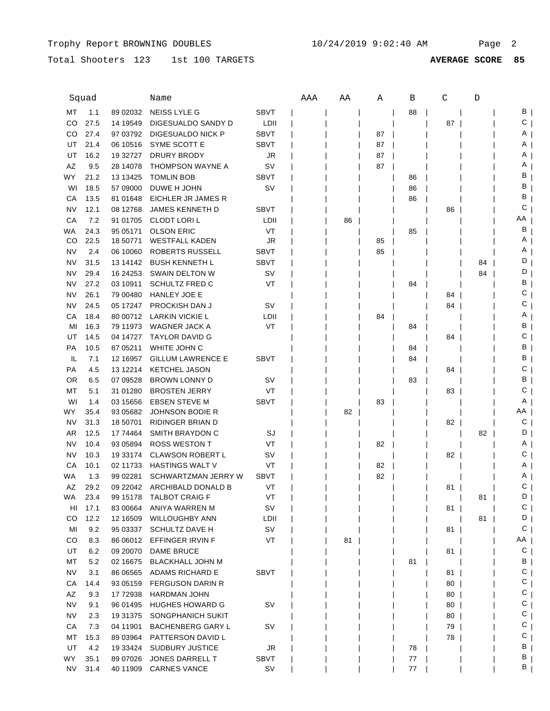Total Shooters 123 1st 100 TARGETS **AVERAGE SCORE 85**

|           | Squad        |                       | Name                             |             | AAA | ΑA | Α  | B  | C  | D  |         |
|-----------|--------------|-----------------------|----------------------------------|-------------|-----|----|----|----|----|----|---------|
| МT        | 1.1          | 89 02032              | NEISS LYLE G                     | <b>SBVT</b> |     |    |    | 88 |    |    | В       |
| CO        | 27.5         | 14 19549              | DIGESUALDO SANDY D               | LDII        |     |    |    |    | 87 |    | С       |
| CO        | 27.4         | 97 03792              | DIGESUALDO NICK P                | <b>SBVT</b> |     |    | 87 |    |    |    | A       |
| UT        | 21.4         | 06 10516              | SYME SCOTT E                     | <b>SBVT</b> |     |    | 87 |    |    |    | Α       |
| UT        | 16.2         | 19 32727              | <b>DRURY BRODY</b>               | JR          |     |    | 87 |    |    |    | Α       |
| AZ        | 9.5          | 28 14078              | THOMPSON WAYNE A                 | <b>SV</b>   |     |    | 87 |    |    |    | Α       |
| <b>WY</b> | 21.2         | 13 13 425             | <b>TOMLIN BOB</b>                | SBVT        |     |    |    | 86 |    |    | в       |
| WI        | 18.5         | 57 09000              | DUWE H JOHN                      | SV          |     |    |    | 86 |    |    | В       |
| CA        | 13.5         | 81 01 648             | EICHLER JR JAMES R               |             |     |    |    | 86 |    |    | в       |
| NV        | 12.1         | 08 12768              | <b>JAMES KENNETH D</b>           | <b>SBVT</b> |     |    |    |    | 86 |    | С       |
| CA        | 7.2          | 91 01705              | <b>CLODT LORIL</b>               | LDII        |     | 86 |    |    |    |    | ΑA      |
| WA        | 24.3         | 95 05171              | <b>OLSON ERIC</b>                | VT          |     |    |    | 85 |    |    | В       |
| CO        | 22.5         | 18 50771              | <b>WESTFALL KADEN</b>            | JR          |     |    | 85 |    |    |    | Α       |
| <b>NV</b> | 2.4          | 06 10060              | ROBERTS RUSSELL                  | <b>SBVT</b> |     |    | 85 |    |    |    | Α       |
| NV        | 31.5         | 13 14 14 2            | <b>BUSH KENNETH L</b>            | <b>SBVT</b> |     |    |    |    |    | 84 | D       |
| NV        | 29.4         | 16 24 25 3            | SWAIN DELTON W                   | sv          |     |    |    |    |    | 84 | D       |
| NV        | 27.2         | 03 10911              | <b>SCHULTZ FRED C</b>            | VT          |     |    |    |    |    |    | в       |
|           |              |                       |                                  |             |     |    |    | 84 |    |    | С       |
| NV        | 26.1         | 79 00480              | <b>HANLEY JOE E</b>              |             |     |    |    |    | 84 |    | С       |
| <b>NV</b> | 24.5         | 05 17247              | PROCKISH DAN J                   | SV          |     |    |    |    | 84 |    | Α       |
| СA        | 18.4<br>16.3 | 80 00712<br>79 11 973 | LARKIN VICKIE L<br>WAGNER JACK A | LDII<br>VT  |     |    | 84 |    |    |    | в       |
| MI        |              |                       | <b>TAYLOR DAVID G</b>            |             |     |    |    | 84 |    |    | С       |
| UT        | 14.5         | 04 14727              |                                  |             |     |    |    |    | 84 |    | в       |
| <b>PA</b> | 10.5         | 87 05211              | WHITE JOHN C                     |             |     |    |    | 84 |    |    | В       |
| IL        | 7.1          | 12 16957              | <b>GILLUM LAWRENCE E</b>         | <b>SBVT</b> |     |    |    | 84 |    |    |         |
| PA        | 4.5          | 13 12214              | <b>KETCHEL JASON</b>             |             |     |    |    |    | 84 |    | С       |
| <b>OR</b> | 6.5          | 07 09528              | <b>BROWN LONNY D</b>             | sv          |     |    |    | 83 |    |    | В       |
| МT        | 5.1          | 31 01280              | <b>BROSTEN JERRY</b>             | VT          |     |    |    |    | 83 |    | С       |
| WI        | 1.4          | 03 15656              | <b>EBSEN STEVE M</b>             | <b>SBVT</b> |     |    | 83 |    |    |    | A       |
| WY        | 35.4         | 93 05682              | JOHNSON BODIE R                  |             |     | 82 |    |    |    |    | ΑA<br>С |
| NV        | 31.3         | 18 50701              | RIDINGER BRIAN D                 |             |     |    |    |    | 82 |    |         |
| AR        | 12.5         | 17 74464              | SMITH BRAYDON C                  | SJ          |     |    |    |    |    | 82 | D       |
| NV        | 10.4         | 93 05894              | <b>ROSS WESTON T</b>             | VT          |     |    | 82 |    |    |    | Α       |
| NV        | 10.3         | 19 33174              | <b>CLAWSON ROBERT L</b>          | sv          |     |    |    |    | 82 |    | С       |
| CA        | 10.1         | 02 11733              | <b>HASTINGS WALT V</b>           | VT          |     |    | 82 |    |    |    | Α       |
| WA        | 1.3          | 99 02281              | SCHWARTZMAN JERRY W              | <b>SBVT</b> |     |    | 82 |    |    |    | Α       |
| AZ        | 29.2         | 09 22042              | ARCHIBALD DONALD B               | VT          |     |    |    |    | 81 |    | С       |
| WA        | 23.4         | 99 15178              | <b>TALBOT CRAIG F</b>            | VT          |     |    |    |    |    | 81 | D       |
| HI        | 17.1         | 83 00664              | ANIYA WARREN M                   | <b>SV</b>   |     |    |    |    | 81 |    | С<br>D  |
| CO        | 12.2         | 12 16509              | <b>WILLOUGHBY ANN</b>            | LDII        |     |    |    |    |    | 81 | С       |
| MI        | 9.2          |                       | 95 03337 SCHULTZ DAVE H          | SV          |     |    |    |    | 81 |    |         |
| CO        | 8.3          |                       | 86 06012 EFFINGER IRVIN F        | VT          |     | 81 |    |    |    |    | AA      |
| UT        | 6.2          |                       | 09 20070 DAME BRUCE              |             |     |    |    |    | 81 |    | C       |
| MT        | 5.2          | 02 16675              | <b>BLACKHALL JOHN M</b>          |             |     |    |    | 81 |    |    | B       |
| <b>NV</b> | 3.1          | 86 06565              | ADAMS RICHARD E                  | SBVT        |     |    |    |    | 81 |    | С<br>С  |
| CA        | 14.4         |                       | 93 05159 FERGUSON DARIN R        |             |     |    |    |    | 80 |    |         |
| AZ        | 9.3          | 17 72938              | <b>HARDMAN JOHN</b>              |             |     |    |    |    | 80 |    | С       |
| <b>NV</b> | 9.1          | 96 01495              | <b>HUGHES HOWARD G</b>           | sv          |     |    |    |    | 80 |    | С       |
| <b>NV</b> | 2.3          |                       | 19 31375 SONGPHANICH SUKIT       |             |     |    |    |    | 80 |    | С       |
| CA        | 7.3          | 04 11901              | <b>BACHENBERG GARY L</b>         | sv          |     |    |    |    | 79 |    | С       |
| MT        | 15.3         | 89 03964              | PATTERSON DAVID L                |             |     |    |    |    | 78 |    | С       |
| UT        | 4.2          | 19 33424              | <b>SUDBURY JUSTICE</b>           | JR          |     |    |    | 78 |    |    | В       |
| WY.       | 35.1         | 89 07026              | JONES DARRELL T                  | <b>SBVT</b> |     |    |    | 77 |    |    | В       |
| NV        | 31.4         | 40 11909              | <b>CARNES VANCE</b>              | sv          |     |    |    | 77 |    |    | В       |